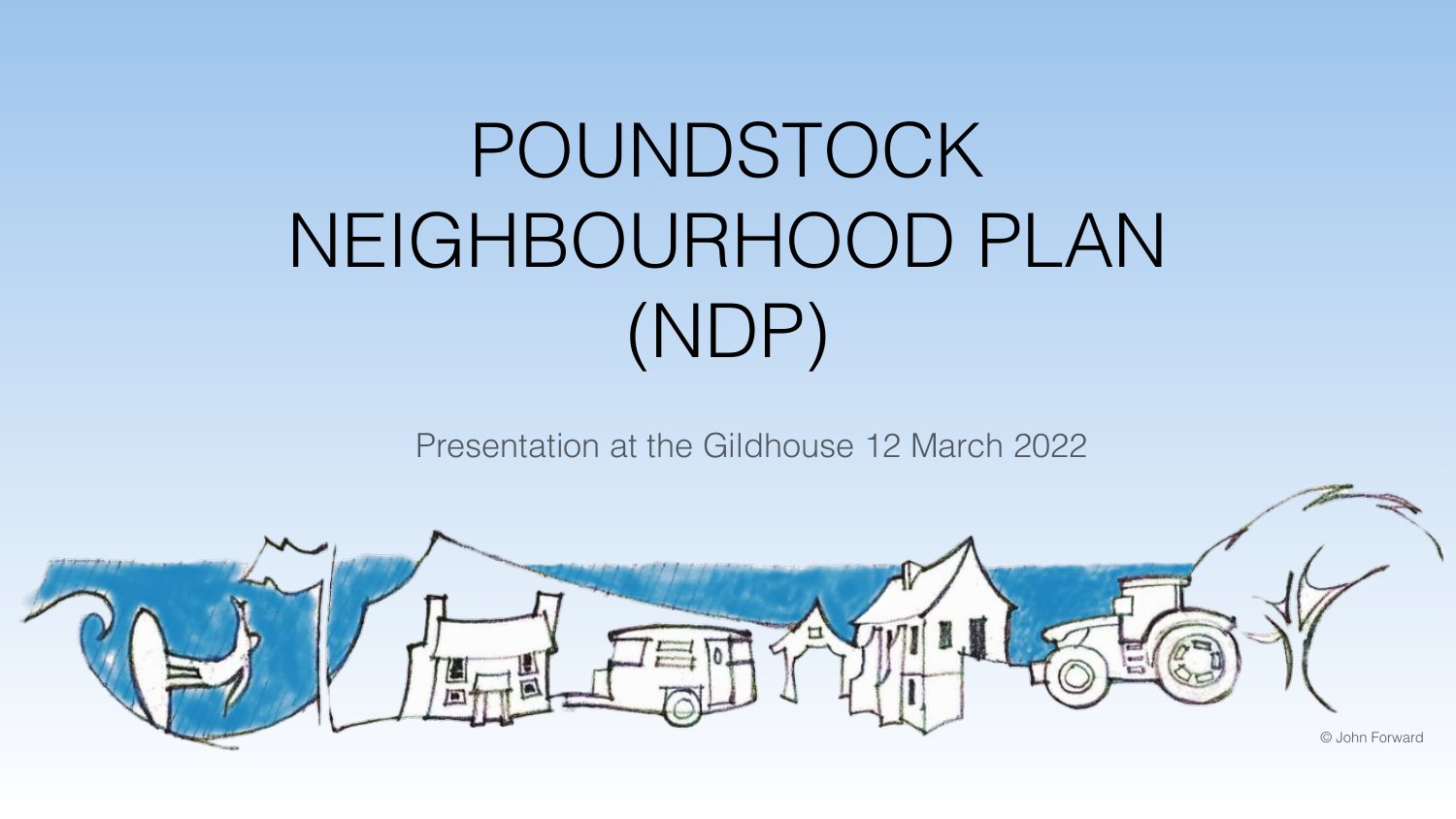## POUNDSTOCK NEIGHBOURHOOD PLAN (NDP)

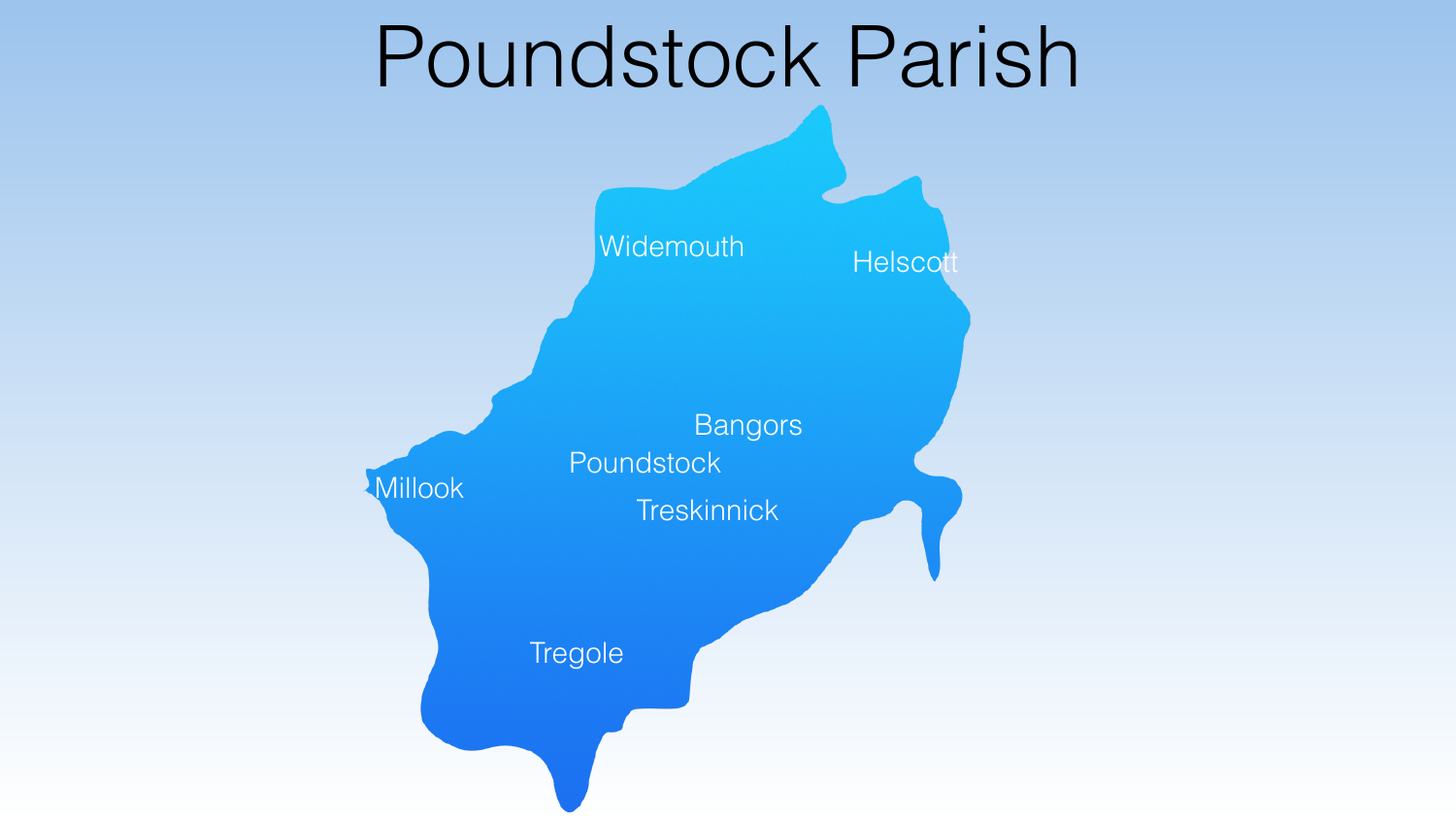Poundstock Treskinnick **Bangors** 

**Tregole** 

Helscot

Millook

### Poundstock Parish

**Widemouth**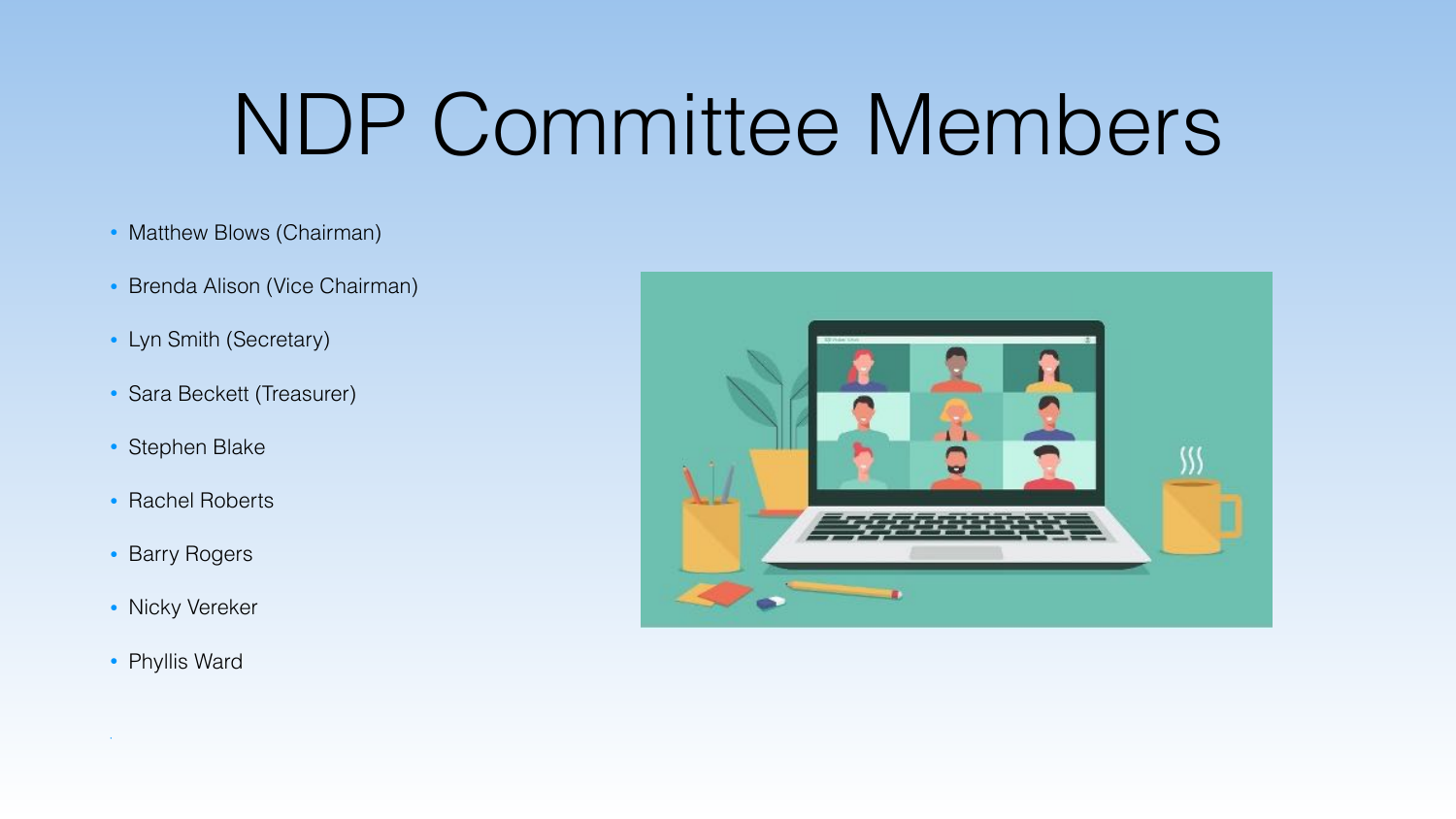## NDP Committee Members

- Matthew Blows (Chairman)
- Brenda Alison (Vice Chairman)
- Lyn Smith (Secretary)
- Sara Beckett (Treasurer)
- Stephen Blake
- Rachel Roberts
- **Barry Rogers**
- Nicky Vereker
- Phyllis Ward



 $\bullet$  . The set of the set of the set of the set of the set of the set of the set of the set of the set of the set of the set of the set of the set of the set of the set of the set of the set of the set of the set of the s

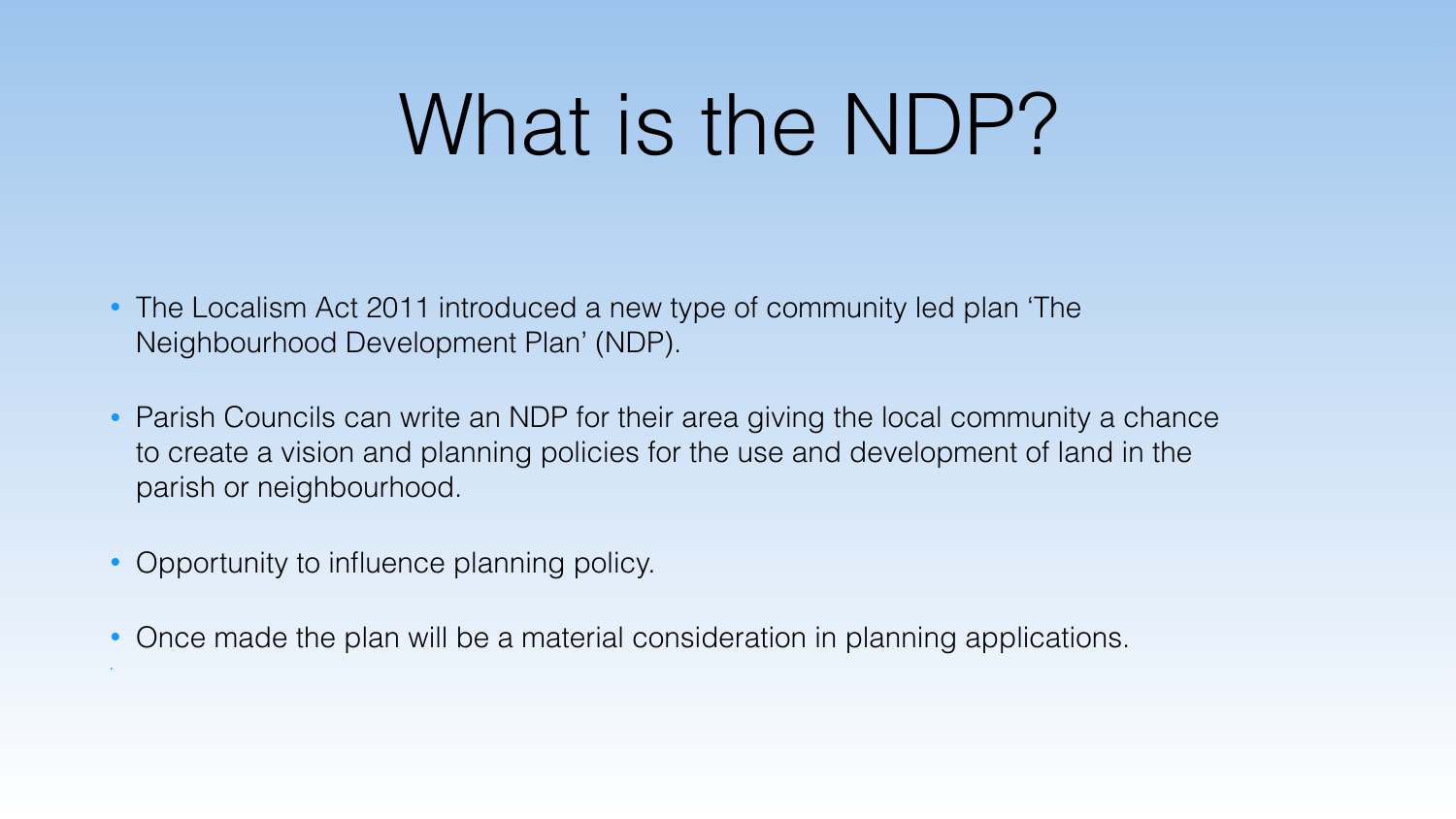- The Localism Act 2011 introduced a new type of community led plan 'The Neighbourhood Development Plan' (NDP).
- Parish Councils can write an NDP for their area giving the local community a chance to create a vision and planning policies for the use and development of land in the parish or neighbourhood.
- Opportunity to influence planning policy.
- Once made the plan will be a material consideration in planning applications. •

### What is the NDP?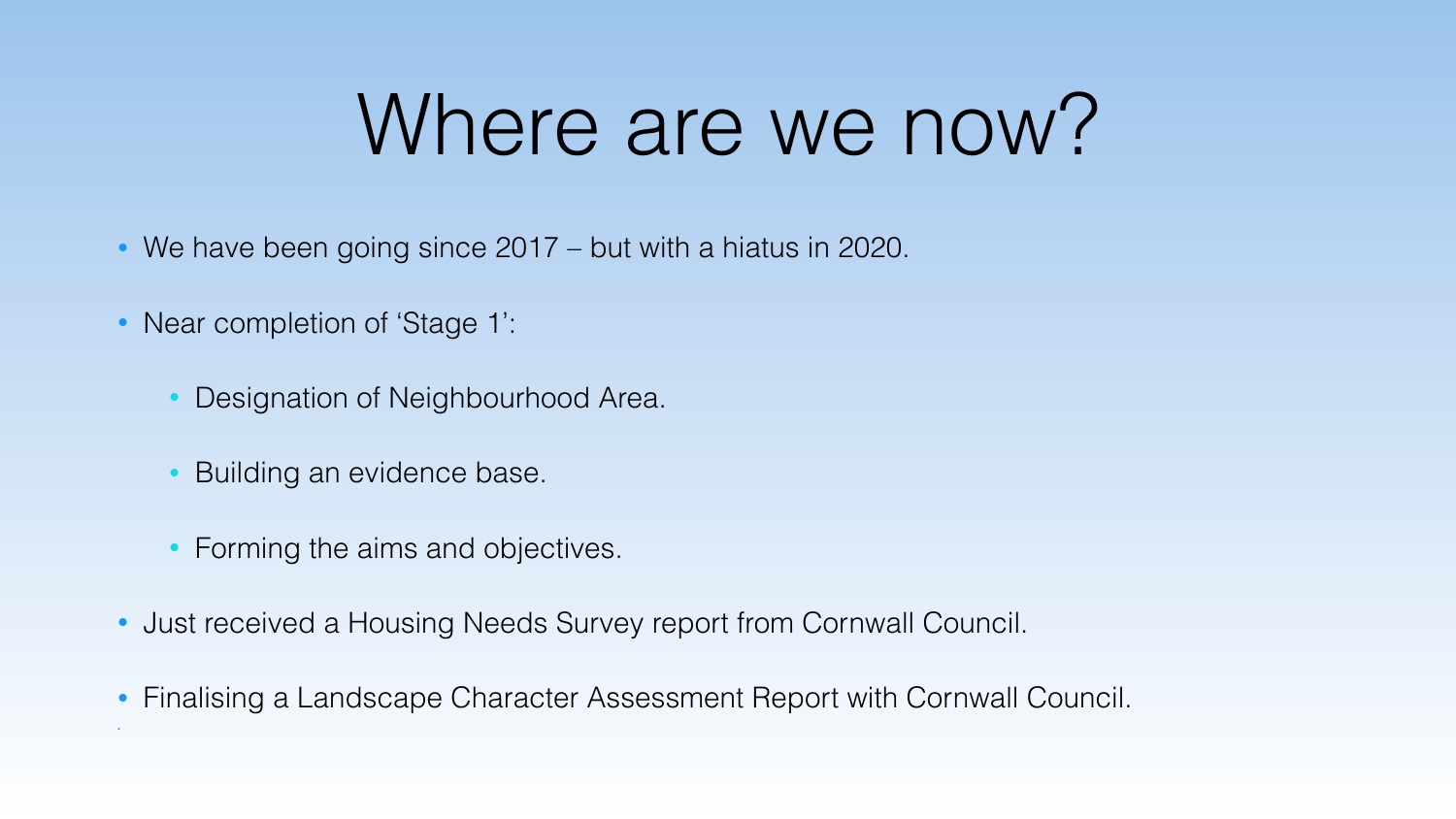## Where are we now?

- We have been going since 2017 but with a hiatus in 2020.
- Near completion of 'Stage 1':

- Designation of Neighbourhood Area.
- Building an evidence base.
- Forming the aims and objectives.
- Just received a Housing Needs Survey report from Cornwall Council.
- Finalising a Landscape Character Assessment Report with Cornwall Council.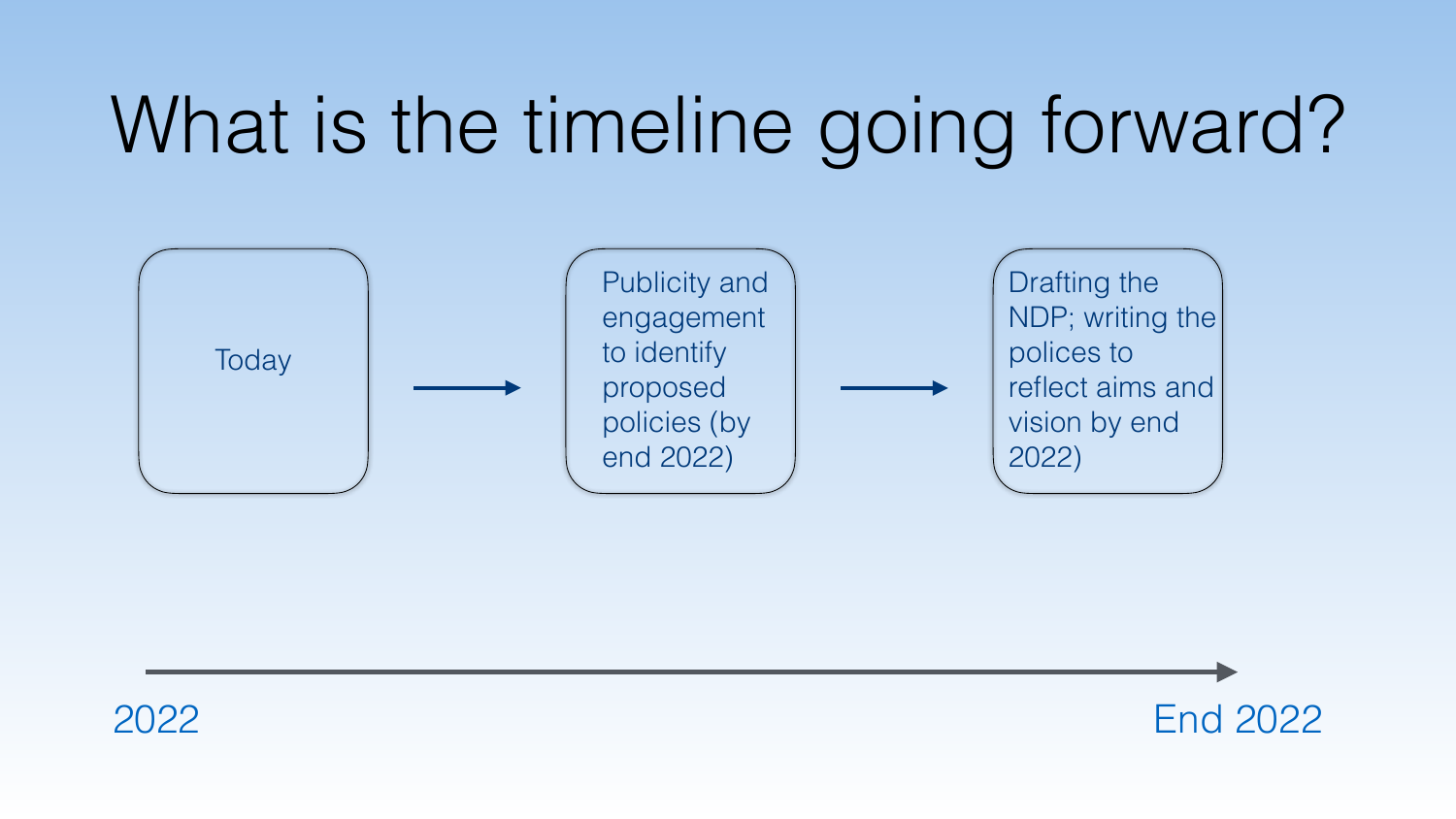





Drafting the NDP; writing the polices to reflect aims and vision by end 2022)

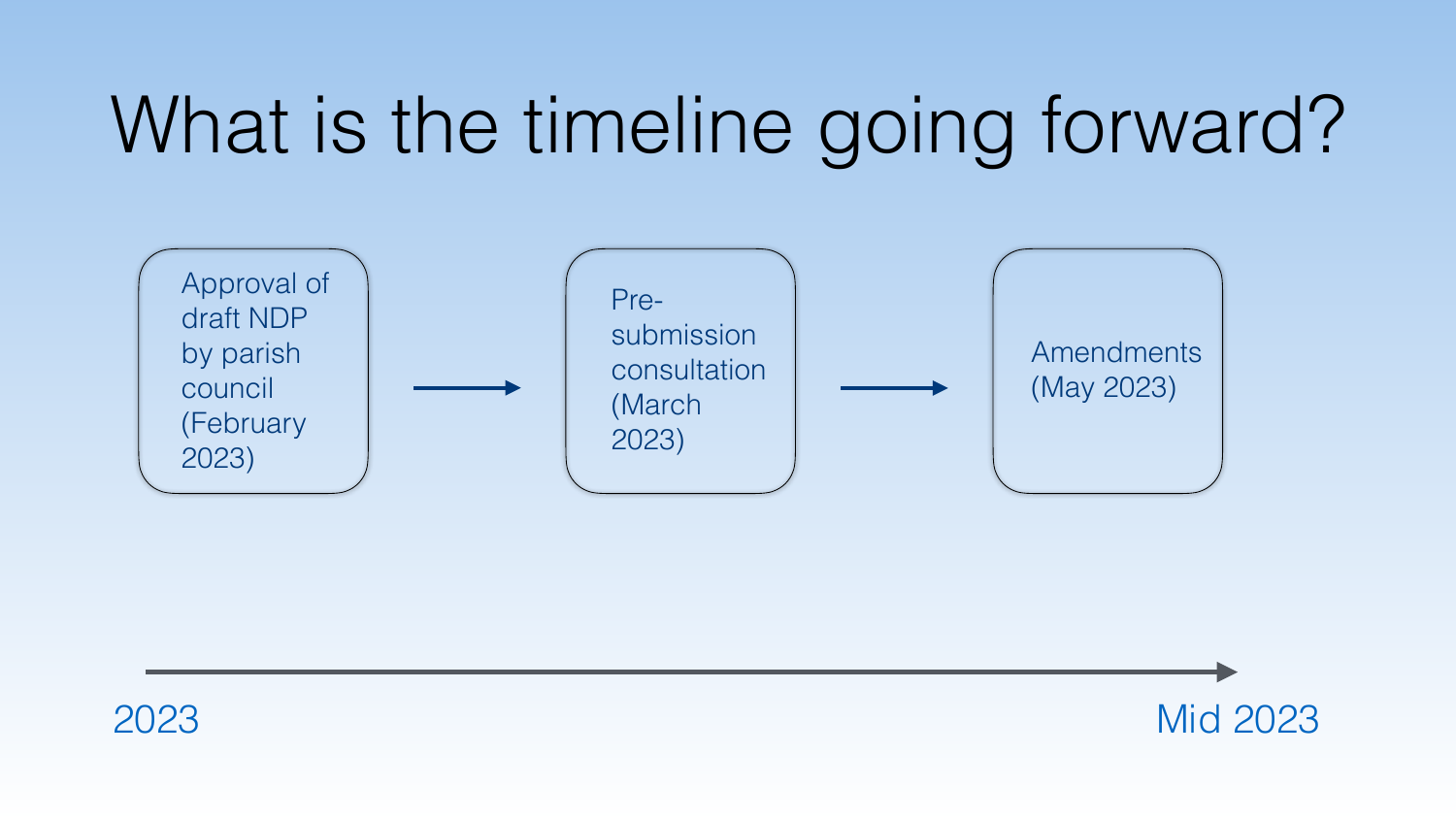Pre-(March 2023)







Approval of draft NDP by parish council (February 2023)

![](_page_6_Picture_2.jpeg)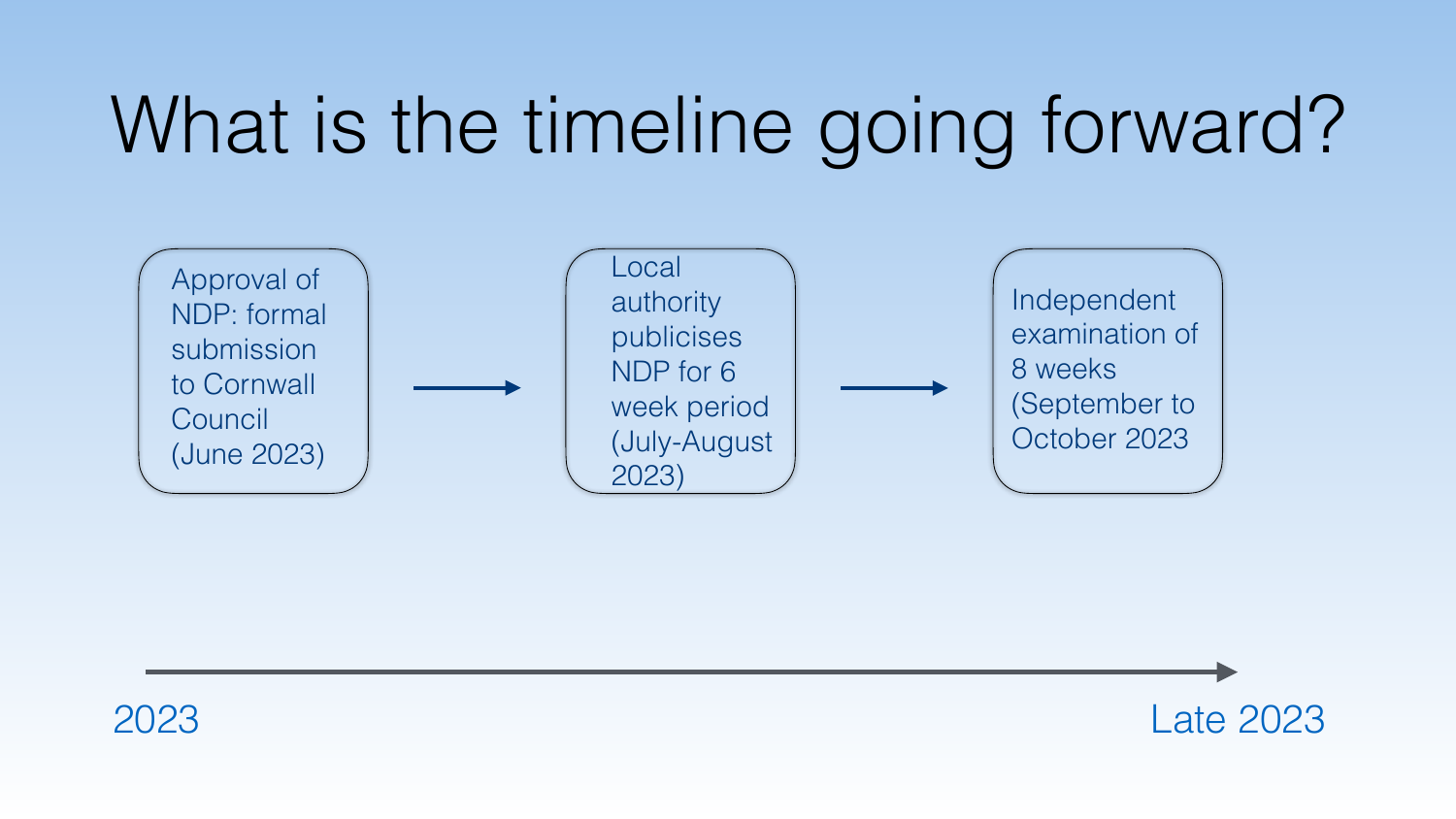Local authority publicises NDP for 6 week period (July-August 2023)

![](_page_7_Picture_4.jpeg)

![](_page_7_Picture_5.jpeg)

Independent examination of 8 weeks (September to October 2023

![](_page_7_Picture_7.jpeg)

Approval of NDP: formal submission to Cornwall Council (June 2023)

![](_page_7_Picture_2.jpeg)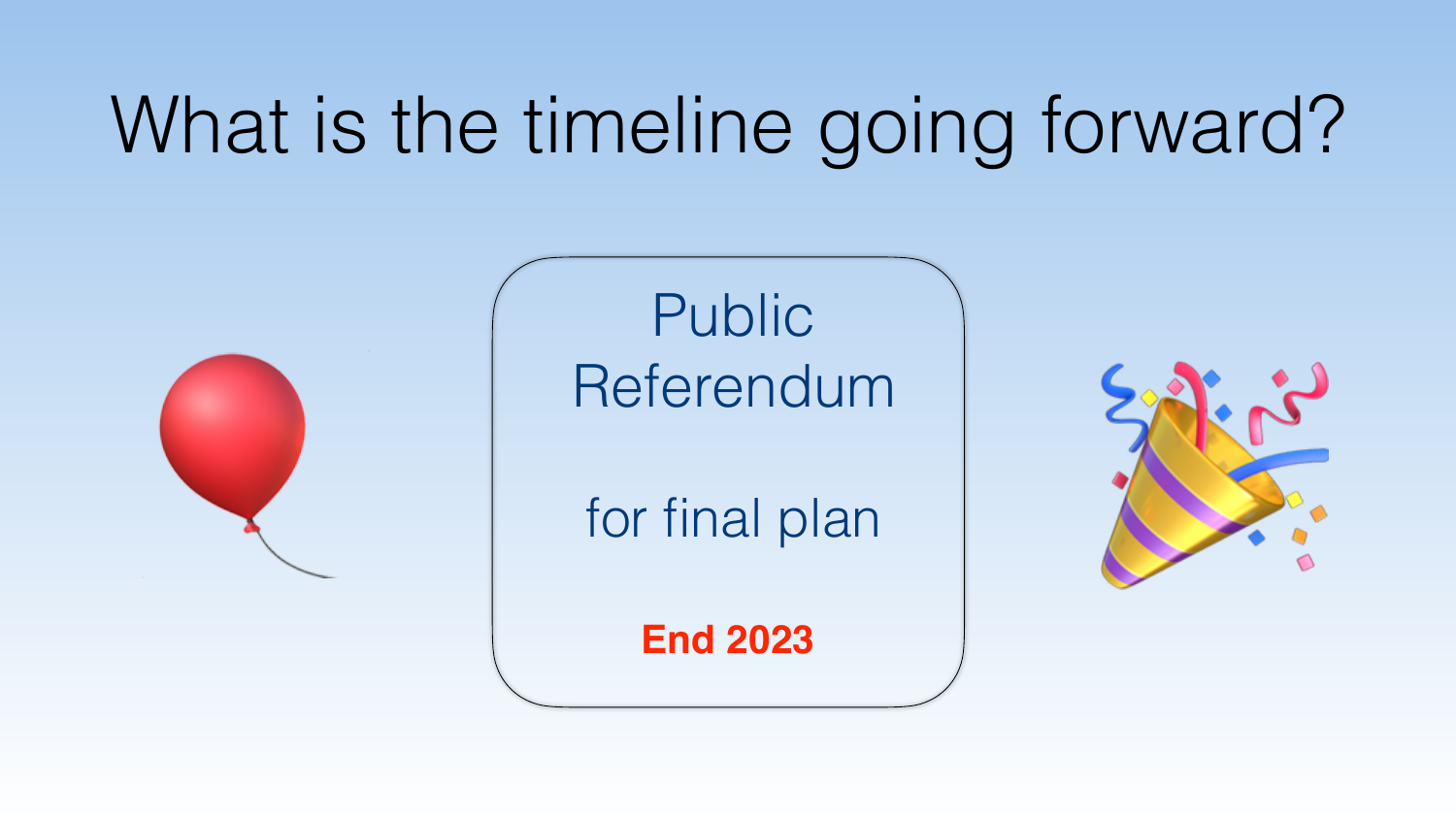### **End 2023**

![](_page_8_Picture_5.jpeg)

### Public Referendum

![](_page_8_Figure_1.jpeg)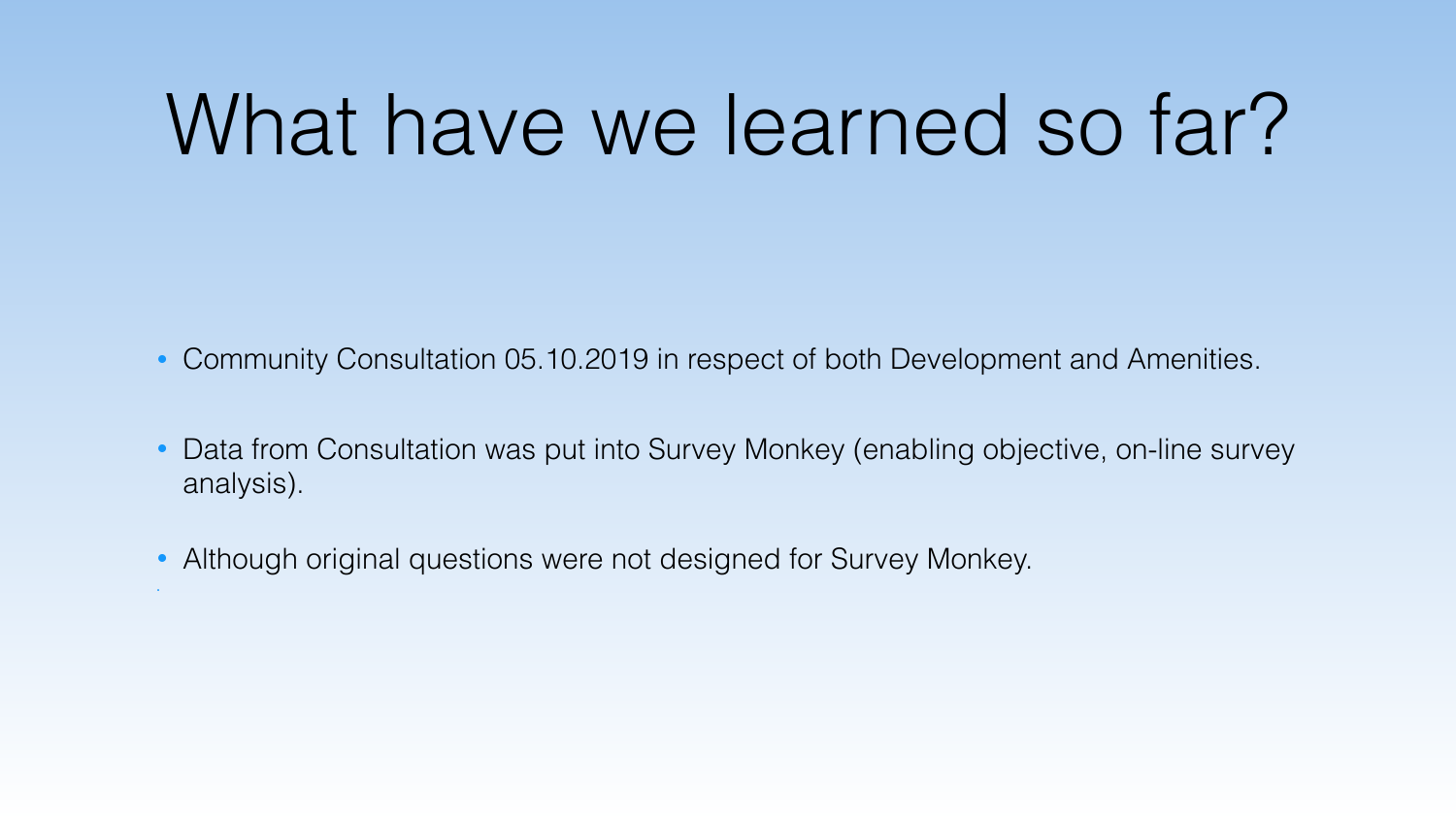• Community Consultation 05.10.2019 in respect of both Development and Amenities.

• Data from Consultation was put into Survey Monkey (enabling objective, on-line survey

### What have we learned so far?

- 
- analysis).
- Although original questions were not designed for Survey Monkey.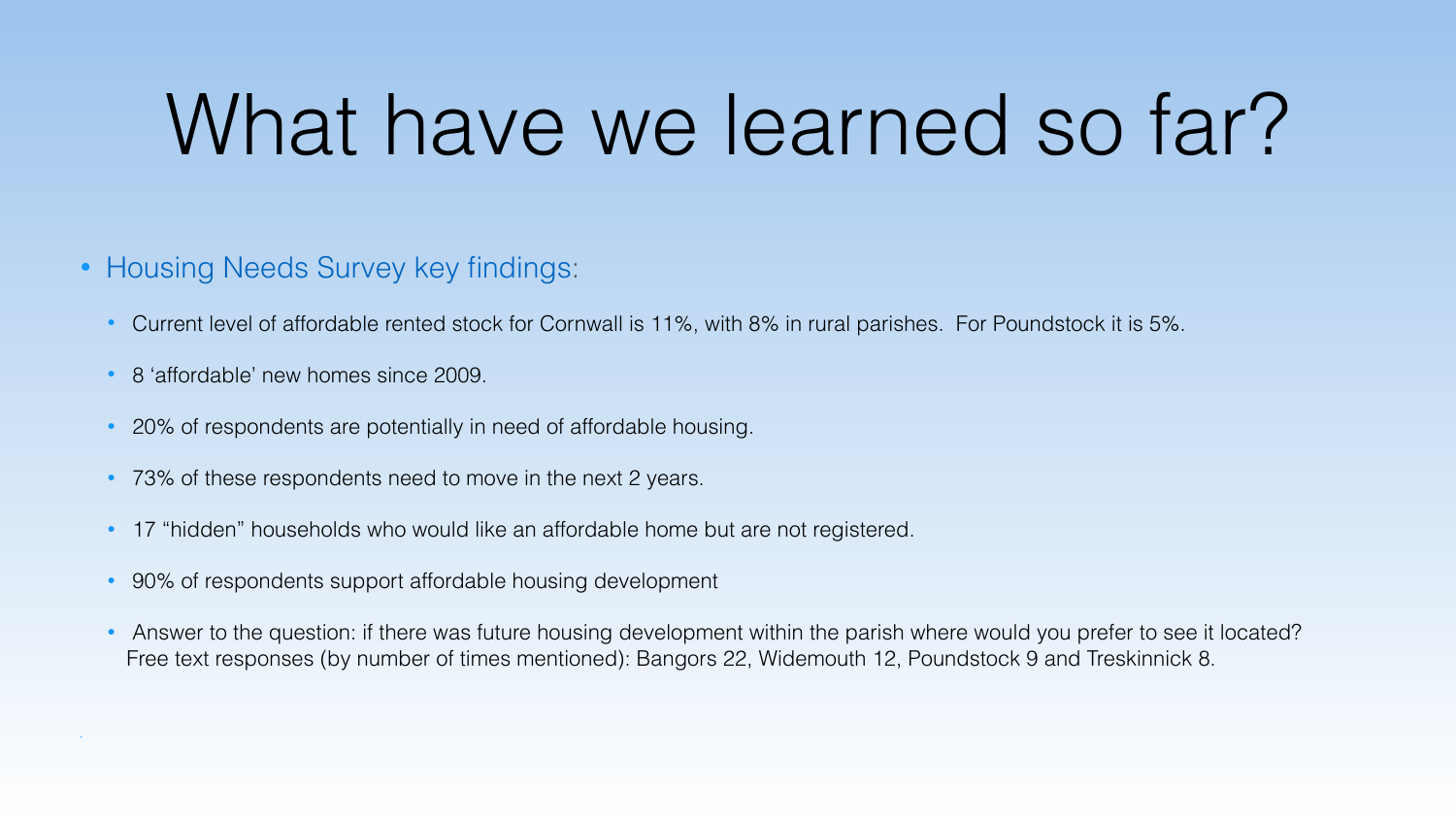## What have we learned so far?

- Housing Needs Survey key findings:
	- Current level of affordable rented stock for Cornwall is 11%, with 8% in rural parishes. For Poundstock it is 5%.
	- 8 'affordable' new homes since 2009.
	- 20% of respondents are potentially in need of affordable housing.
	- 73% of these respondents need to move in the next 2 years.
	- 17 "hidden" households who would like an affordable home but are not registered.
	- 90% of respondents support affordable housing development
	- Free text responses (by number of times mentioned): Bangors 22, Widemouth 12, Poundstock 9 and Treskinnick 8.

 $\bullet$  . The contract of the contract of the contract of the contract of the contract of the contract of the contract of the contract of the contract of the contract of the contract of the contract of the contract of the co

• Answer to the question: if there was future housing development within the parish where would you prefer to see it located?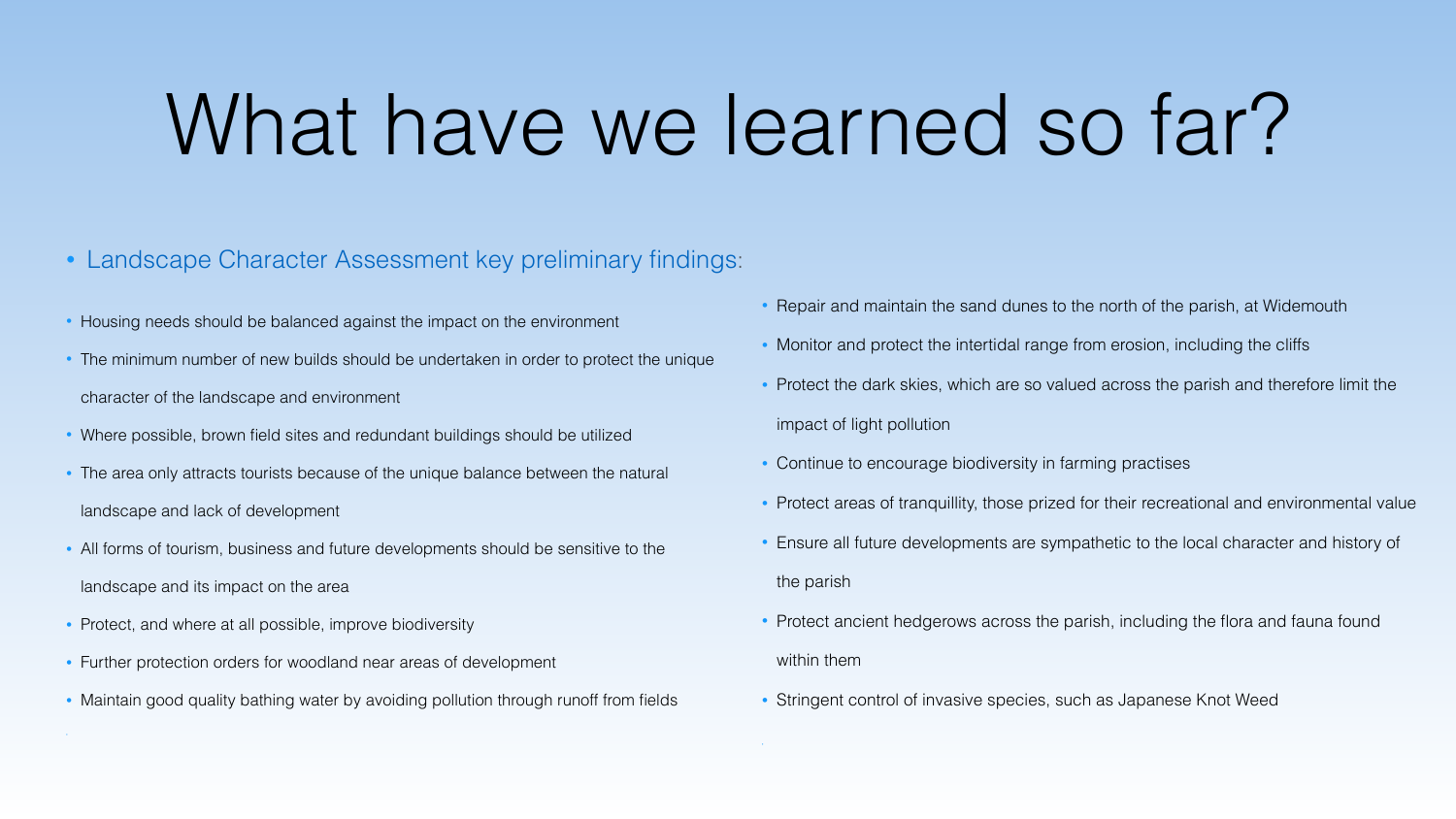### • Landscape Character Assessment key preliminary findings:

- Further protection orders for woodland near areas of development
- Maintain good quality bathing water by avoiding pollution through runoff from fields
- Housing needs should be balanced against the impact on the environment
- The minimum number of new builds should be undertaken in order to protect the unique character of the landscape and environment
- Where possible, brown field sites and redundant buildings should be utilized
- The area only attracts tourists because of the unique balance between the natural landscape and lack of development
- All forms of tourism, business and future developments should be sensitive to the landscape and its impact on the area
- Protect, and where at all possible, improve biodiversity

•

- Repair and maintain the sand dunes to the north of the parish, at Widemouth
- Monitor and protect the intertidal range from erosion, including the cliffs
- Protect the dark skies, which are so valued across the parish and therefore limit the impact of light pollution
- Continue to encourage biodiversity in farming practises
- Protect areas of tranquillity, those prized for their recreational and environmental value
- Ensure all future developments are sympathetic to the local character and history of the parish
- Protect ancient hedgerows across the parish, including the flora and fauna found within them
- Stringent control of invasive species, such as Japanese Knot Weed

![](_page_11_Figure_18.jpeg)

![](_page_11_Figure_19.jpeg)

## What have we learned so far?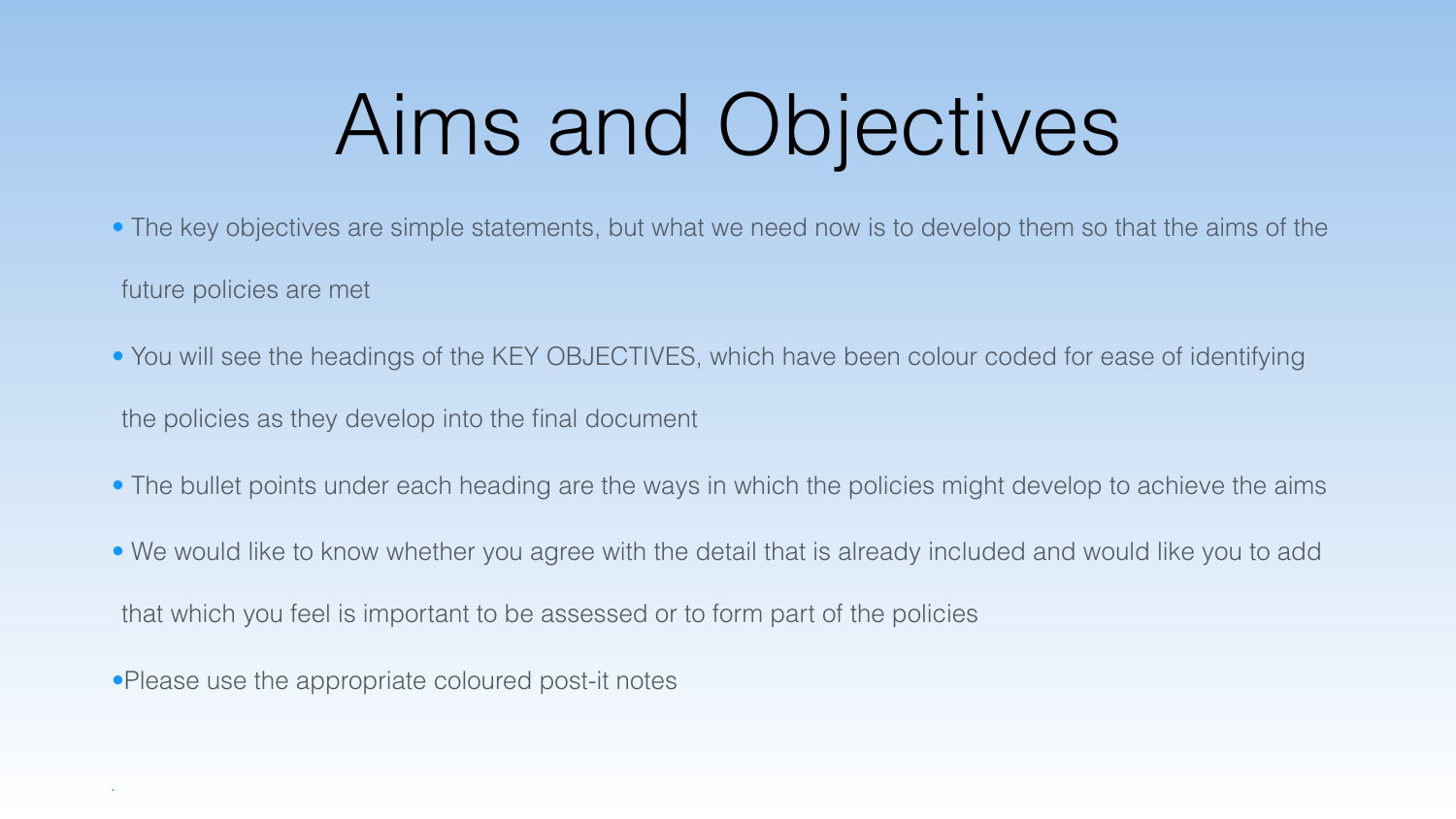# Aims and Objectives

- 
- future policies are met
- the policies as they develop into the final document
- 
- that which you feel is important to be assessed or to form part of the policies
- •Please use the appropriate coloured post-it notes

• The key objectives are simple statements, but what we need now is to develop them so that the aims of the

• You will see the headings of the KEY OBJECTIVES, which have been colour coded for ease of identifying

• The bullet points under each heading are the ways in which the policies might develop to achieve the aims

• We would like to know whether you agree with the detail that is already included and would like you to add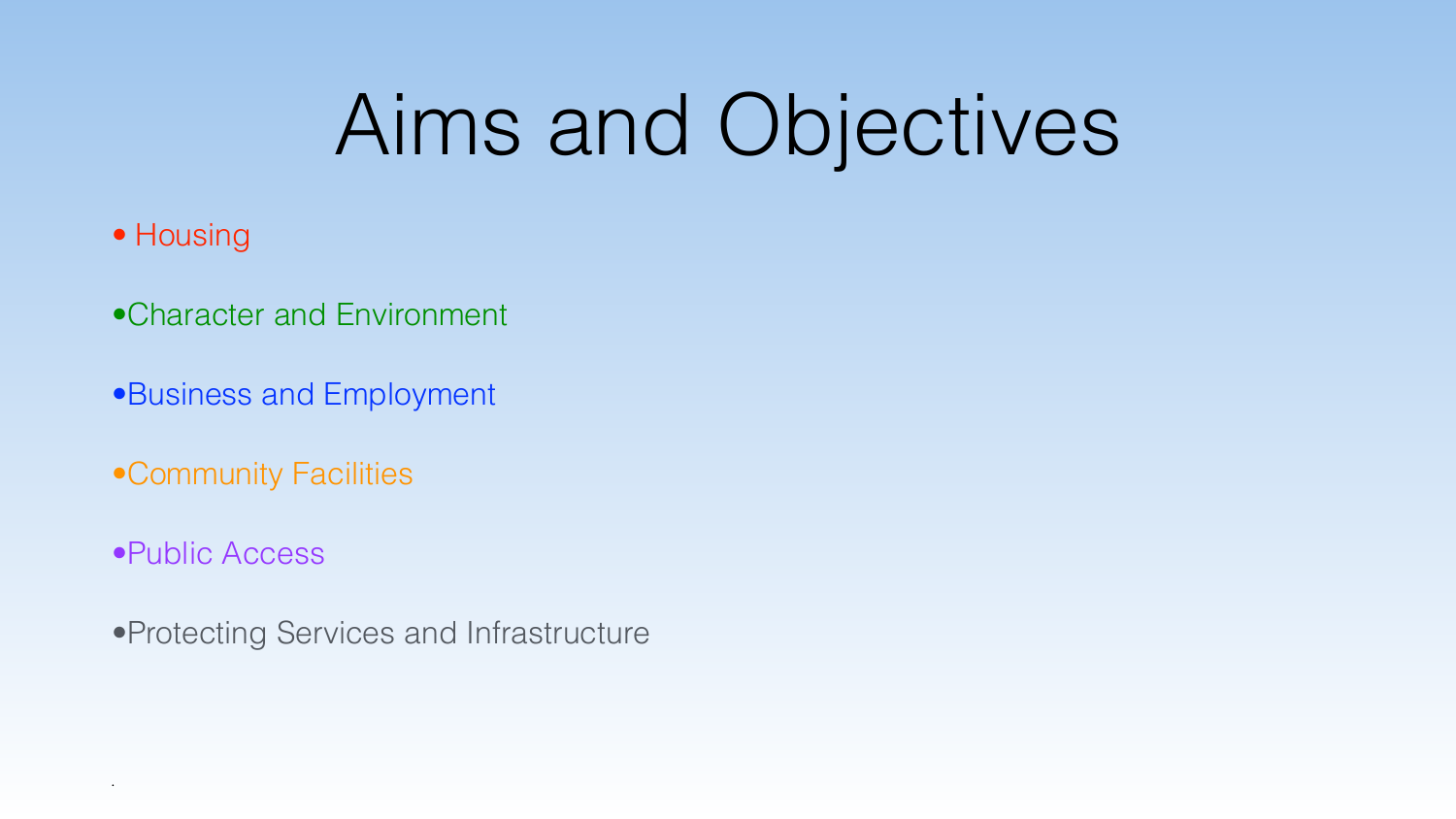## Aims and Objectives

- Housing
- •Character and Environment
- •Business and Employment
- •Community Facilities
- •Public Access
- •Protecting Services and Infrastructure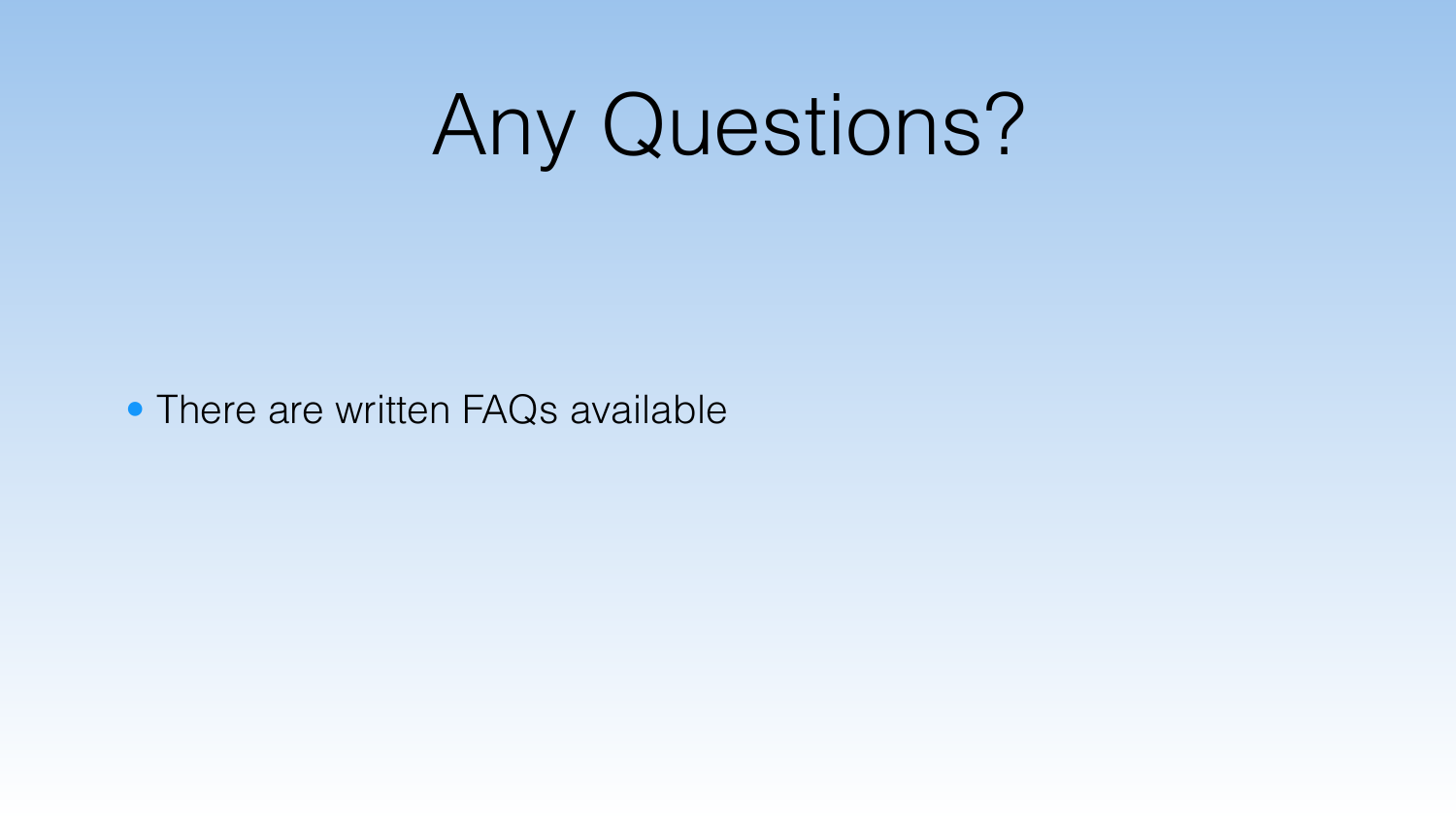# Any Questions?

### • There are written FAQs available